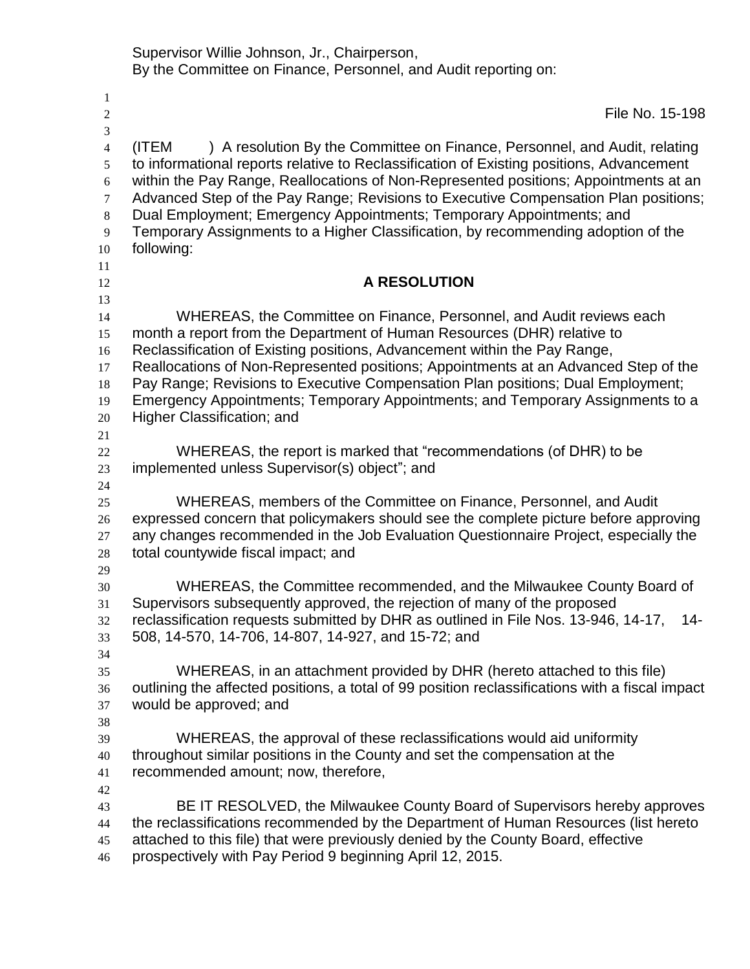Supervisor Willie Johnson, Jr., Chairperson, By the Committee on Finance, Personnel, and Audit reporting on:

| 1              |                                                                                                                                                                                 |
|----------------|---------------------------------------------------------------------------------------------------------------------------------------------------------------------------------|
| $\mathfrak{2}$ | File No. 15-198                                                                                                                                                                 |
| $\mathfrak{Z}$ |                                                                                                                                                                                 |
| $\overline{4}$ | ) A resolution By the Committee on Finance, Personnel, and Audit, relating<br>(ITEM<br>to informational reports relative to Reclassification of Existing positions, Advancement |
| 5<br>6         | within the Pay Range, Reallocations of Non-Represented positions; Appointments at an                                                                                            |
| 7              | Advanced Step of the Pay Range; Revisions to Executive Compensation Plan positions;                                                                                             |
| 8<br>9         | Dual Employment; Emergency Appointments; Temporary Appointments; and<br>Temporary Assignments to a Higher Classification, by recommending adoption of the                       |
| 10             | following:                                                                                                                                                                      |
| 11             |                                                                                                                                                                                 |
| 12             | <b>A RESOLUTION</b>                                                                                                                                                             |
| 13             |                                                                                                                                                                                 |
| 14<br>15       | WHEREAS, the Committee on Finance, Personnel, and Audit reviews each<br>month a report from the Department of Human Resources (DHR) relative to                                 |
| 16             | Reclassification of Existing positions, Advancement within the Pay Range,                                                                                                       |
| 17             | Reallocations of Non-Represented positions; Appointments at an Advanced Step of the                                                                                             |
| 18             | Pay Range; Revisions to Executive Compensation Plan positions; Dual Employment;                                                                                                 |
| 19             | Emergency Appointments; Temporary Appointments; and Temporary Assignments to a                                                                                                  |
| 20             | Higher Classification; and                                                                                                                                                      |
| 21             |                                                                                                                                                                                 |
| 22             | WHEREAS, the report is marked that "recommendations (of DHR) to be                                                                                                              |
| 23             | implemented unless Supervisor(s) object"; and                                                                                                                                   |
| 24             |                                                                                                                                                                                 |
| 25             | WHEREAS, members of the Committee on Finance, Personnel, and Audit                                                                                                              |
| 26             | expressed concern that policymakers should see the complete picture before approving                                                                                            |
| 27             | any changes recommended in the Job Evaluation Questionnaire Project, especially the                                                                                             |
| 28             | total countywide fiscal impact; and                                                                                                                                             |
| 29<br>30       | WHEREAS, the Committee recommended, and the Milwaukee County Board of                                                                                                           |
| 31             | Supervisors subsequently approved, the rejection of many of the proposed                                                                                                        |
| 32             | reclassification requests submitted by DHR as outlined in File Nos. 13-946, 14-17,<br>14-                                                                                       |
| 33             | 508, 14-570, 14-706, 14-807, 14-927, and 15-72; and                                                                                                                             |
| 34             |                                                                                                                                                                                 |
| 35             | WHEREAS, in an attachment provided by DHR (hereto attached to this file)                                                                                                        |
| 36             | outlining the affected positions, a total of 99 position reclassifications with a fiscal impact                                                                                 |
| 37             | would be approved; and                                                                                                                                                          |
| 38             |                                                                                                                                                                                 |
| 39             | WHEREAS, the approval of these reclassifications would aid uniformity                                                                                                           |
| 40             | throughout similar positions in the County and set the compensation at the                                                                                                      |
| 41             | recommended amount; now, therefore,                                                                                                                                             |
| 42             |                                                                                                                                                                                 |
| 43             | BE IT RESOLVED, the Milwaukee County Board of Supervisors hereby approves                                                                                                       |
| 44             | the reclassifications recommended by the Department of Human Resources (list hereto                                                                                             |
| 45<br>46       | attached to this file) that were previously denied by the County Board, effective<br>prospectively with Pay Period 9 beginning April 12, 2015.                                  |
|                |                                                                                                                                                                                 |